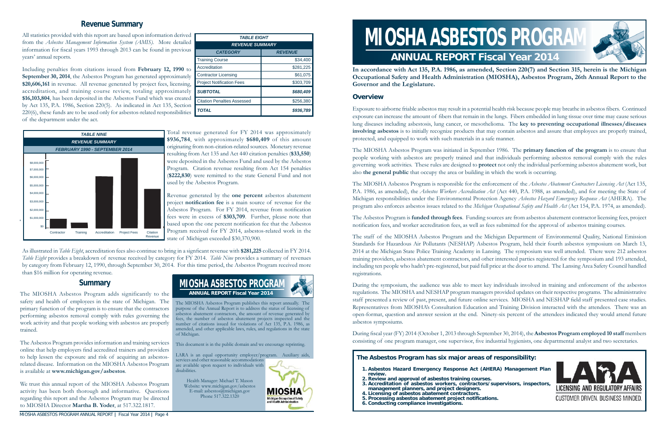The MIOSHA Asbestos Program publishes this report annually. The purpose of the Annual Report is to address the status of licensing of asbestos abatement contractors, the amount of revenue generated by fees, the number of asbestos abatement projects inspected and the number of citations issued for violations of Act 135, P.A. 1986, as amended, and other applicable laws, rules, and regulations in the state of Michigan.

This document is in the public domain and we encourage reprinting.

MIOSHA

**Michigan Occupational Safety** 

LARA is an equal opportunity employer/program. Auxiliary aids, services and other reasonable accommodations are available upon request to individuals with disabilities.

Health Manager: Michael T. Mason Website: www.michigan.gov/asbestos E-mail: asbestos@michigan.gov Phone 517.322.1320



Exposure to airborne friable asbestos may result in a potential health risk because people may breathe in asbestos fibers. Continued exposure can increase the amount of fibers that remain in the lungs. Fibers embedded in lung tissue over time may cause serious lung diseases including asbestosis, lung cancer, or mesothelioma. The **key to preventing occupational illnesses/diseases involving asbestos** is to initially recognize products that may contain asbestos and assure that employees are properly trained, protected, and equipped to work with such materials in a safe manner.

**In accordance with Act 135, P.A. 1986, as amended, Section 220(7) and Section 315, herein is the Michigan Occupational Safety and Health Administration (MIOSHA), Asbestos Program, 26th Annual Report to the Governor and the Legislature.** 

#### **Overview**

The Asbestos Program is **funded through fees**. Funding sources are from asbestos abatement contractor licensing fees, project notification fees, and worker accreditation fees, as well as fees submitted for the approval of asbestos training courses.

The MIOSHA Asbestos Program was initiated in September 1986. The **primary function of the program** is to ensure that people working with asbestos are properly trained and that individuals performing asbestos removal comply with the rules governing work activities. These rules are designed to **protect** not only the individual performing asbestos abatement work, but also **the general public** that occupy the area or building in which the work is occurring.

During fi scal year (FY) 2014 (October 1, 2013 through September 30, 2014), the **Asbestos Program employed 10 staff** members consisting of one program manager, one supervisor, five industrial hygienists, one departmental analyst and two secretaries.

The MIOSHA Asbestos Program is responsible for the enforcement of the *Asbestos Abatement Contractors Licensing Act* (Act 135, P.A. 1986, as amended), the *Asbestos Workers Accreditation Act* (Act 440, P.A. 1988, as amended), and for meeting the State of Michigan responsibilities under the Environmental Protection Agency *Asbestos Hazard Emergency Response Act* (AHERA). The program also enforces asbestos issues related to the *Michigan Occupational Safety and Health Act* (Act 154, P.A. 1974, as amended).

# **ANNUAL REPORT Fiscal Year 2014**All statistics provided with this report are based upon information derived<br>from the *Asbestos Management Information System (AMIS)*. More detailed **FREVENUES TO RAMIS**

information for fiscal years 1993 through 2013 can be found in previous years' annual reports.

> The staff of the MIOSHA Asbestos Program and the Michigan Department of Environmental Quality, National Emission Standards for Hazardous Air Pollutants (NESHAP) Asbestos Program, held their fourth asbestos symposium on March 13, 2014 at the Michigan State Police Training Academy in Lansing. The symposium was well attended. There were 212 asbestos training providers, asbestos abatement contractors, and other interested parties registered for the symposium and 193 attended, including ten people who hadn't pre-registered, but paid full price at the door to attend. The Lansing Area Safety Council handled registrations.

> During the symposium, the audience was able to meet key individuals involved in training and enforcement of the asbestos regulations. The MIOSHA and NESHAP program managers provided updates on their respective programs. The administrative staff presented a review of past, present, and future online services. MIOSHA and NESHAP field staff presented case studies. Representatives from MIOSHA's Consultation Education and Training Division interacted with the attendees. There was an open-format, question and answer session at the end. Ninety-six percent of the attendees indicated they would attend future asbestos symposiums.

As illustrated in *Table Eight*, accreditation fees also continue to bring in a signficant revenue with \$281,225 collected in FY 2014. *Table Eight* provides a breakdown of revenue received by category for FY 2014. *Table Nine* provides a summary of revenues by category from February 12, 1990, through September 30, 2014. For this time period, the Asbestos Program received more than \$16 million for operating revenue.

#### **Summary**

The MIOSHA Asbestos Program adds significantly to the safety and health of employees in the state of Michigan. The primary function of the program is to ensure that the contractors performing asbestos removal comply with rules governing the work activity and that people working with asbestos are properly trained.

The Asbestos Program provides information and training services online that help employers find accredited trainers and providers to help lessen the exposure and risk of acquiring an asbestosrelated disease. Information on the MIOSHA Asbestos Program is available at **www.michigan.gov/asbestos**.

We trust this annual report of the MIOSHA Asbestos Program activity has been both thorough and informative. Questions regarding this report and the Asbestos Program may be directed to MIOSHA Director **Martha B. Yoder**, at 517.322.1817.

| <b>TABLE EIGHT</b>                 |                |  |  |  |
|------------------------------------|----------------|--|--|--|
| <b>REVENUE SUMMARY</b>             |                |  |  |  |
| <b>CATEGORY</b>                    | <b>REVENUE</b> |  |  |  |
| <b>Training Course</b>             | \$34,400       |  |  |  |
| Accreditation                      | \$281,225      |  |  |  |
| <b>Contractor Licensing</b>        | \$61,075       |  |  |  |
| <b>Project Notification Fees</b>   | \$303,709      |  |  |  |
| <b>SUBTOTAL</b>                    | \$680,409      |  |  |  |
| <b>Citation Penalties Assessed</b> | \$256,380      |  |  |  |
| <b>TOTAL</b>                       | \$936,789      |  |  |  |

#### **The Asbestos Program has six major areas of responsibility:**

- **1. Asbestos Hazard Emergency Response Act (AHERA) Management Plan review.**
- **2. Review and approval of asbestos training courses.** 3. Accreditation of asbestos workers, contractors/supervisors, inspectors,
- **management planners, and project designers.**
- **4. Licensing of asbestos abatement contractors.**
- **5. Processing asbestos abatement project noti fi cations.**
- **6. Conducting compliance investigations.**





Including penalties from citations issued from **February 12, 1990** to **September 30, 2014**, the Asbestos Program has generated approximately **\$20,606,161** in revenue. All revenue generated by project fees, licensing, accreditation, and training course review, totaling approximately **\$16,103,804**, has been deposited in the Asbestos Fund which was created by Act 135, P.A. 1986, Section 220(5). As indicated in Act 135, Section 220(6), these funds are to be used only for asbestos-related responsibilities of the department under the act.

> Total revenue generated for FY 2014 was approximately **\$936,784**, with approximately **\$680,409** of this amount originating from non-citation-related sources. Monetary revenue resulting from Act 135 and Act 440 citation penalties (**\$33,550**) were deposited in the Asbestos Fund and used by the Asbestos Program. Citation revenue resulting from Act 154 penalties (**\$222,830**) were remitted to the state General Fund and not used by the Asbestos Program.

> Revenue generated by the **one percent** asbestos abatement project **notification fee** is a main source of revenue for the Asbestos Program. For FY 2014, revenue from notification fees were in excess of **\$303,709**. Further, please note that based upon the one percent notification fee that the Asbestos Program received for FY 2014, asbestos-related work in the state of Michigan exceeded \$30,370,900.